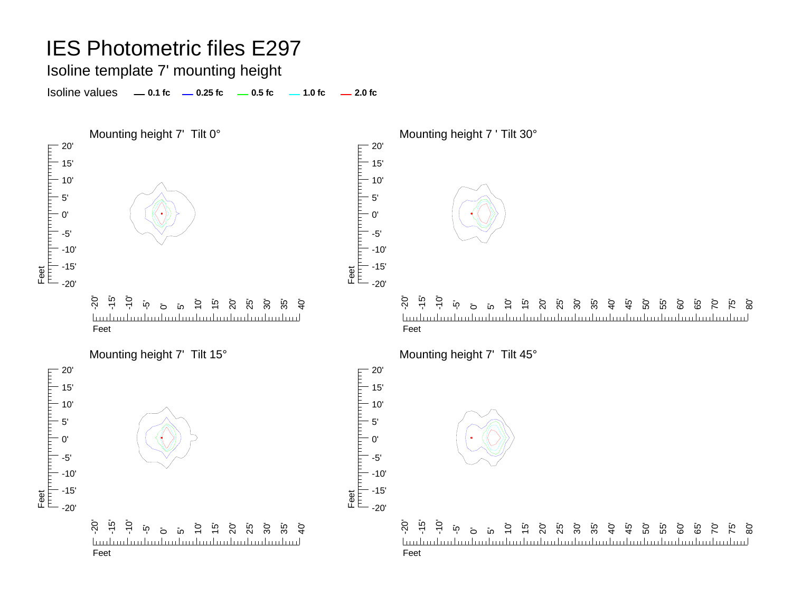Isoline template 7' mounting height

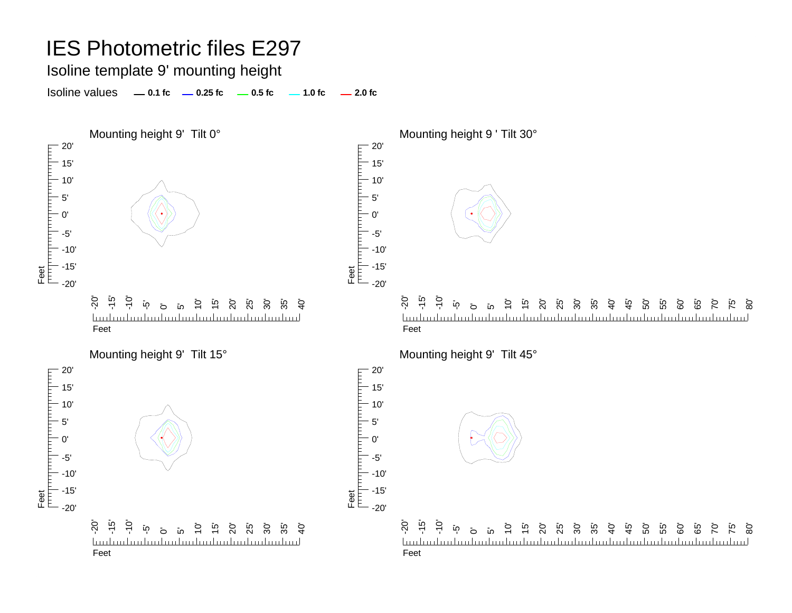#### Isoline template 9' mounting height

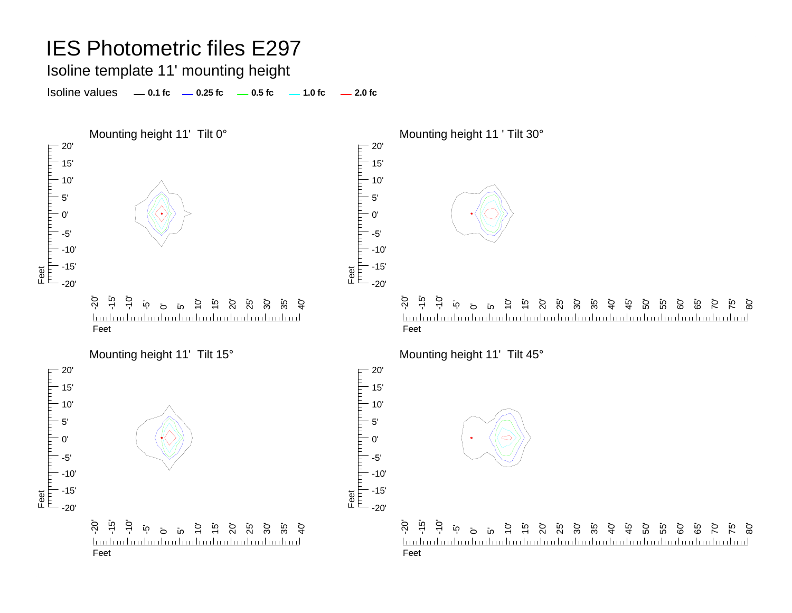Isoline template 11' mounting height

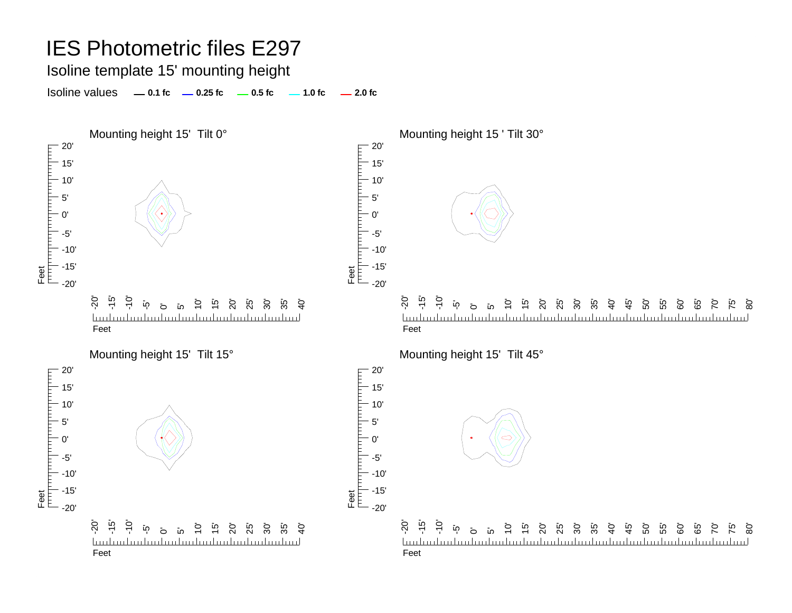#### Isoline template 15' mounting height

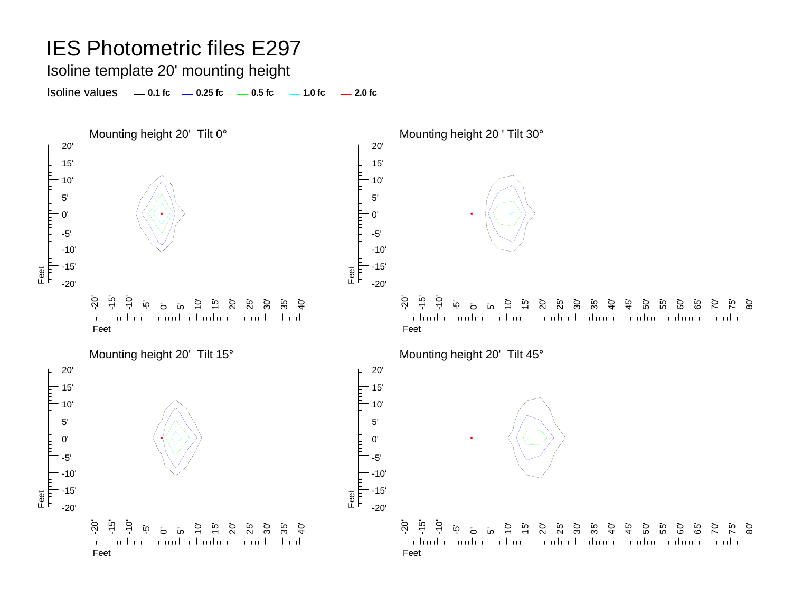Isoline template 20' mounting height

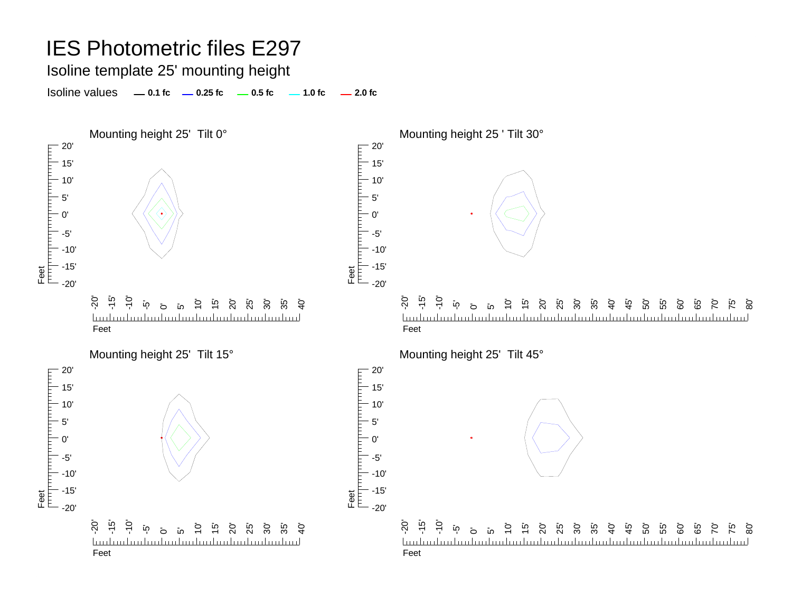Isoline template 25' mounting height

Isoline values **0.1 fc 0.25 fc 0.5 fc 2.0 fc 1.0 fc**



50' 55' 60' 65' 70' 75' 80'

50' 55' 60' ة<br>6 70' 75' 80'